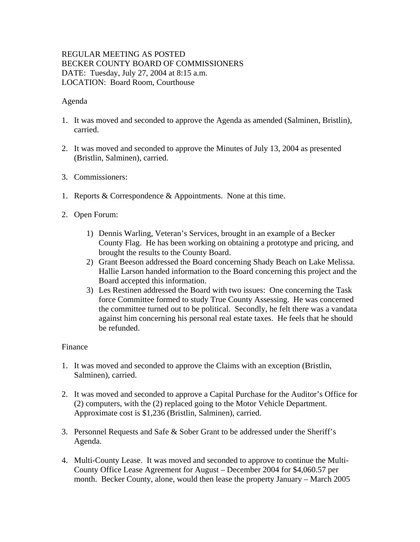## REGULAR MEETING AS POSTED BECKER COUNTY BOARD OF COMMISSIONERS DATE: Tuesday, July 27, 2004 at 8:15 a.m. LOCATION: Board Room, Courthouse

## Agenda

- 1. It was moved and seconded to approve the Agenda as amended (Salminen, Bristlin), carried.
- 2. It was moved and seconded to approve the Minutes of July 13, 2004 as presented (Bristlin, Salminen), carried.
- 3. Commissioners:
- 1. Reports & Correspondence & Appointments. None at this time.
- 2. Open Forum:
	- 1) Dennis Warling, Veteran's Services, brought in an example of a Becker County Flag. He has been working on obtaining a prototype and pricing, and brought the results to the County Board.
	- 2) Grant Beeson addressed the Board concerning Shady Beach on Lake Melissa. Hallie Larson handed information to the Board concerning this project and the Board accepted this information.
	- 3) Les Restinen addressed the Board with two issues: One concerning the Task force Committee formed to study True County Assessing. He was concerned the committee turned out to be political. Secondly, he felt there was a vandata against him concerning his personal real estate taxes. He feels that he should be refunded.

## Finance

- 1. It was moved and seconded to approve the Claims with an exception (Bristlin, Salminen), carried.
- 2. It was moved and seconded to approve a Capital Purchase for the Auditor's Office for (2) computers, with the (2) replaced going to the Motor Vehicle Department. Approximate cost is \$1,236 (Bristlin, Salminen), carried.
- 3. Personnel Requests and Safe & Sober Grant to be addressed under the Sheriff's Agenda.
- 4. Multi-County Lease. It was moved and seconded to approve to continue the Multi-County Office Lease Agreement for August – December 2004 for \$4,060.57 per month. Becker County, alone, would then lease the property January – March 2005